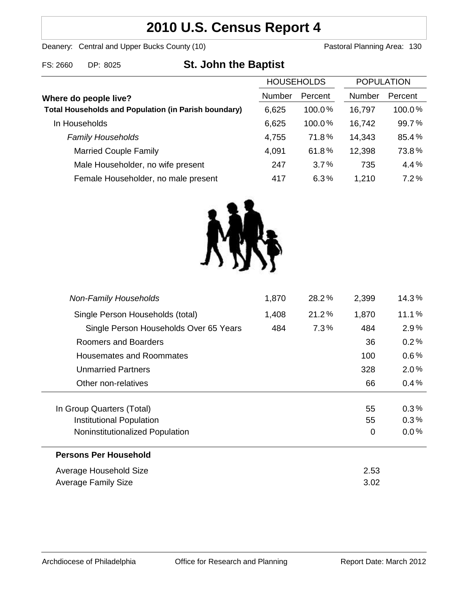# **2010 U.S. Census Report 4**

Deanery: Central and Upper Bucks County (10) Deanery: Central and Upper Bucks County (10)

| <b>St. John the Baptist</b><br>FS: 2660<br>DP: 8025 |
|-----------------------------------------------------|
|-----------------------------------------------------|

|                                                             | <b>HOUSEHOLDS</b> |           | <b>POPULATION</b> |         |
|-------------------------------------------------------------|-------------------|-----------|-------------------|---------|
| Where do people live?                                       | <b>Number</b>     | Percent   | <b>Number</b>     | Percent |
| <b>Total Households and Population (in Parish boundary)</b> | 6,625             | 100.0%    | 16,797            | 100.0%  |
| In Households                                               | 6,625             | $100.0\%$ | 16,742            | 99.7%   |
| <b>Family Households</b>                                    | 4,755             | 71.8%     | 14,343            | 85.4%   |
| <b>Married Couple Family</b>                                | 4,091             | 61.8%     | 12,398            | 73.8%   |
| Male Householder, no wife present                           | 247               | 3.7%      | 735               | 4.4%    |
| Female Householder, no male present                         | 417               | 6.3%      | 1,210             | 7.2%    |



| <b>Non-Family Households</b>           | 1,870 | 28.2%   | 2,399 | 14.3%   |
|----------------------------------------|-------|---------|-------|---------|
| Single Person Households (total)       | 1,408 | 21.2%   | 1,870 | 11.1%   |
| Single Person Households Over 65 Years | 484   | $7.3\%$ | 484   | $2.9\%$ |
| Roomers and Boarders                   |       |         | 36    | 0.2%    |
| Housemates and Roommates               |       |         | 100   | $0.6\%$ |
| <b>Unmarried Partners</b>              |       |         | 328   | $2.0\%$ |
| Other non-relatives                    |       |         | 66    | 0.4%    |
| In Group Quarters (Total)              |       |         | 55    | 0.3%    |
| Institutional Population               |       |         | 55    | $0.3\%$ |
| Noninstitutionalized Population        |       |         | 0     | 0.0%    |
| <b>Persons Per Household</b>           |       |         |       |         |
| Average Household Size                 |       |         | 2.53  |         |
| Average Family Size                    |       |         | 3.02  |         |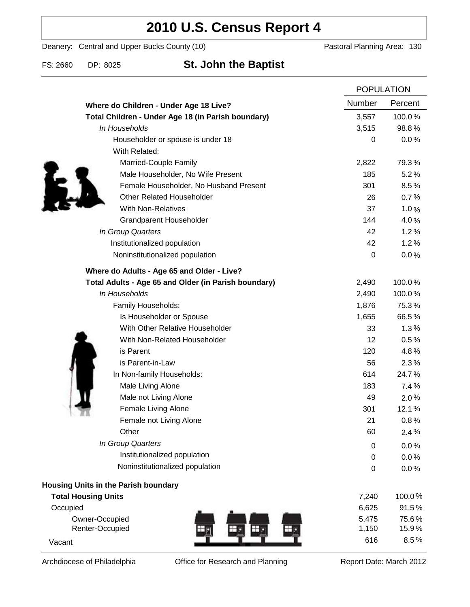# **2010 U.S. Census Report 4**

Deanery: Central and Upper Bucks County (10) Deanery: Central and Upper Bucks County (10)

### FS: 2660 DP: 8025 **St. John the Baptist**

|                                                      | <b>POPULATION</b> |         |
|------------------------------------------------------|-------------------|---------|
| Where do Children - Under Age 18 Live?               | Number            | Percent |
| Total Children - Under Age 18 (in Parish boundary)   | 3,557             | 100.0%  |
| In Households                                        | 3,515             | 98.8%   |
| Householder or spouse is under 18                    | 0                 | 0.0%    |
| With Related:                                        |                   |         |
| Married-Couple Family                                | 2,822             | 79.3%   |
| Male Householder, No Wife Present                    | 185               | 5.2%    |
| Female Householder, No Husband Present               | 301               | 8.5%    |
| <b>Other Related Householder</b>                     | 26                | 0.7%    |
| <b>With Non-Relatives</b>                            | 37                | 1.0%    |
| Grandparent Householder                              | 144               | 4.0%    |
| In Group Quarters                                    | 42                | 1.2%    |
| Institutionalized population                         | 42                | 1.2%    |
| Noninstitutionalized population                      | 0                 | 0.0%    |
| Where do Adults - Age 65 and Older - Live?           |                   |         |
| Total Adults - Age 65 and Older (in Parish boundary) | 2,490             | 100.0%  |
| In Households                                        | 2,490             | 100.0%  |
| Family Households:                                   | 1,876             | 75.3%   |
| Is Householder or Spouse                             | 1,655             | 66.5%   |
| With Other Relative Householder                      | 33                | 1.3%    |
| With Non-Related Householder                         | 12                | 0.5%    |
| is Parent                                            | 120               | 4.8%    |
| is Parent-in-Law                                     | 56                | 2.3%    |
| In Non-family Households:                            | 614               | 24.7%   |
| Male Living Alone                                    | 183               | 7.4%    |
| Male not Living Alone                                | 49                | $2.0\%$ |
| Female Living Alone                                  | 301               | 12.1%   |
| Female not Living Alone                              | 21                | 0.8%    |
| Other                                                | 60                | 2.4%    |
| In Group Quarters                                    | 0                 | 0.0%    |
| Institutionalized population                         | 0                 | 0.0%    |
| Noninstitutionalized population                      | 0                 | 0.0%    |
| <b>Housing Units in the Parish boundary</b>          |                   |         |
| <b>Total Housing Units</b>                           | 7,240             | 100.0%  |
| Occupied                                             | 6,625             | 91.5%   |
| Owner-Occupied                                       | 5,475             | 75.6%   |
| Renter-Occupied                                      | 1,150             | 15.9%   |
| Vacant                                               | 616               | 8.5%    |

Archdiocese of Philadelphia **Office for Research and Planning** Report Date: March 2012